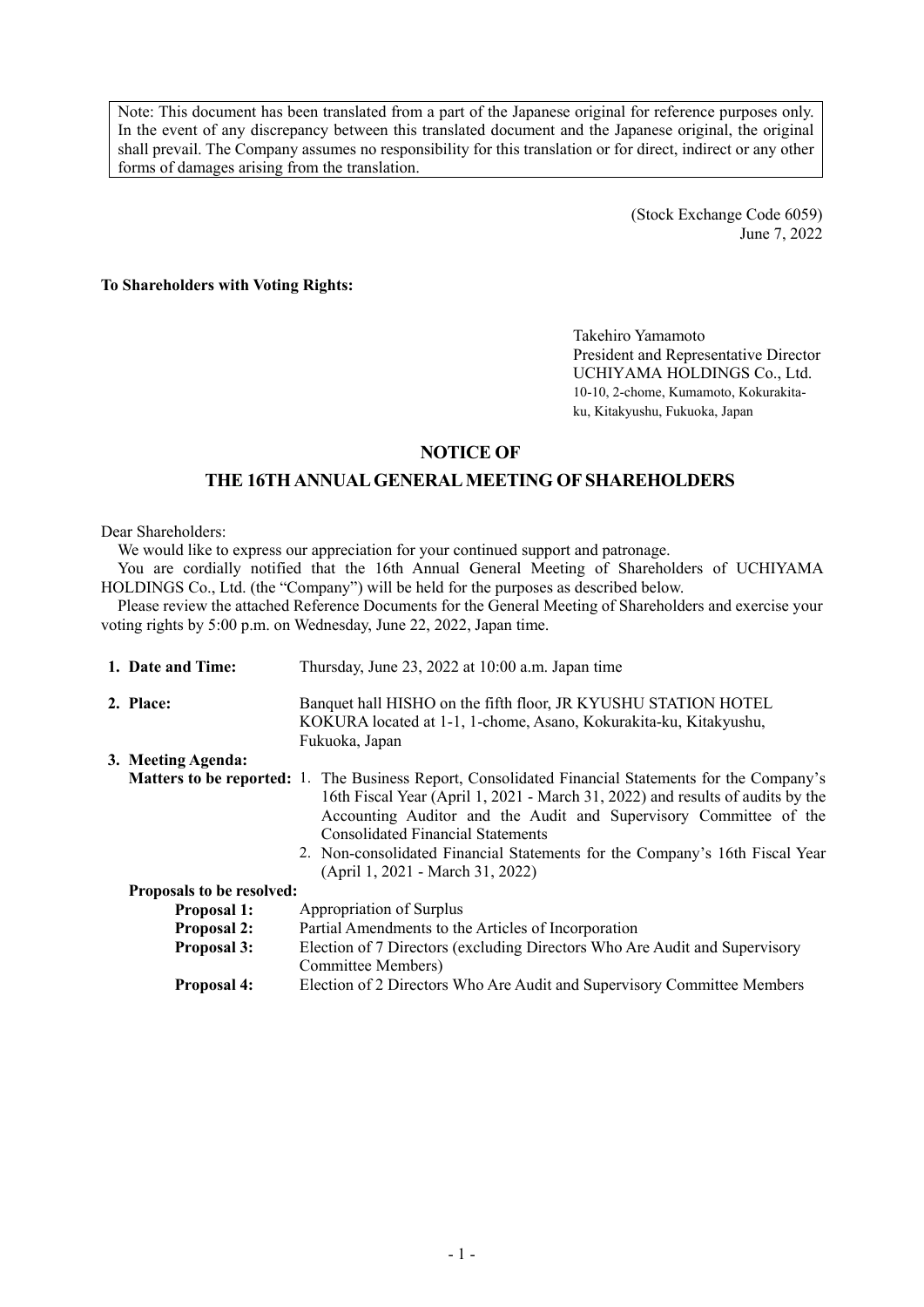Note: This document has been translated from a part of the Japanese original for reference purposes only. In the event of any discrepancy between this translated document and the Japanese original, the original shall prevail. The Company assumes no responsibility for this translation or for direct, indirect or any other forms of damages arising from the translation.

> (Stock Exchange Code 6059) June 7, 2022

#### **To Shareholders with Voting Rights:**

Takehiro Yamamoto President and Representative Director UCHIYAMA HOLDINGS Co., Ltd. 10-10, 2-chome, Kumamoto, Kokurakitaku, Kitakyushu, Fukuoka, Japan

# **NOTICE OF**

# **THE 16TH ANNUAL GENERAL MEETING OF SHAREHOLDERS**

#### Dear Shareholders:

We would like to express our appreciation for your continued support and patronage.

You are cordially notified that the 16th Annual General Meeting of Shareholders of UCHIYAMA HOLDINGS Co., Ltd. (the "Company") will be held for the purposes as described below.

Please review the attached Reference Documents for the General Meeting of Shareholders and exercise your voting rights by 5:00 p.m. on Wednesday, June 22, 2022, Japan time.

| 1. Date and Time:         | Thursday, June 23, 2022 at 10:00 a.m. Japan time                                                                                                                                                                                                                                                                                                                                                                                 |
|---------------------------|----------------------------------------------------------------------------------------------------------------------------------------------------------------------------------------------------------------------------------------------------------------------------------------------------------------------------------------------------------------------------------------------------------------------------------|
| 2. Place:                 | Banquet hall HISHO on the fifth floor, JR KYUSHU STATION HOTEL<br>KOKURA located at 1-1, 1-chome, Asano, Kokurakita-ku, Kitakyushu,<br>Fukuoka, Japan                                                                                                                                                                                                                                                                            |
| 3. Meeting Agenda:        |                                                                                                                                                                                                                                                                                                                                                                                                                                  |
|                           | <b>Matters to be reported:</b> 1. The Business Report, Consolidated Financial Statements for the Company's<br>16th Fiscal Year (April 1, 2021 - March 31, 2022) and results of audits by the<br>Accounting Auditor and the Audit and Supervisory Committee of the<br><b>Consolidated Financial Statements</b><br>2. Non-consolidated Financial Statements for the Company's 16th Fiscal Year<br>(April 1, 2021 - March 31, 2022) |
| Proposals to be resolved: |                                                                                                                                                                                                                                                                                                                                                                                                                                  |
| <b>Proposal 1:</b>        | Appropriation of Surplus                                                                                                                                                                                                                                                                                                                                                                                                         |
| <b>Proposal 2:</b>        | Partial Amendments to the Articles of Incorporation                                                                                                                                                                                                                                                                                                                                                                              |
| <b>Proposal 3:</b>        | Election of 7 Directors (excluding Directors Who Are Audit and Supervisory<br>Committee Members)                                                                                                                                                                                                                                                                                                                                 |
| <b>Proposal 4:</b>        | Election of 2 Directors Who Are Audit and Supervisory Committee Members                                                                                                                                                                                                                                                                                                                                                          |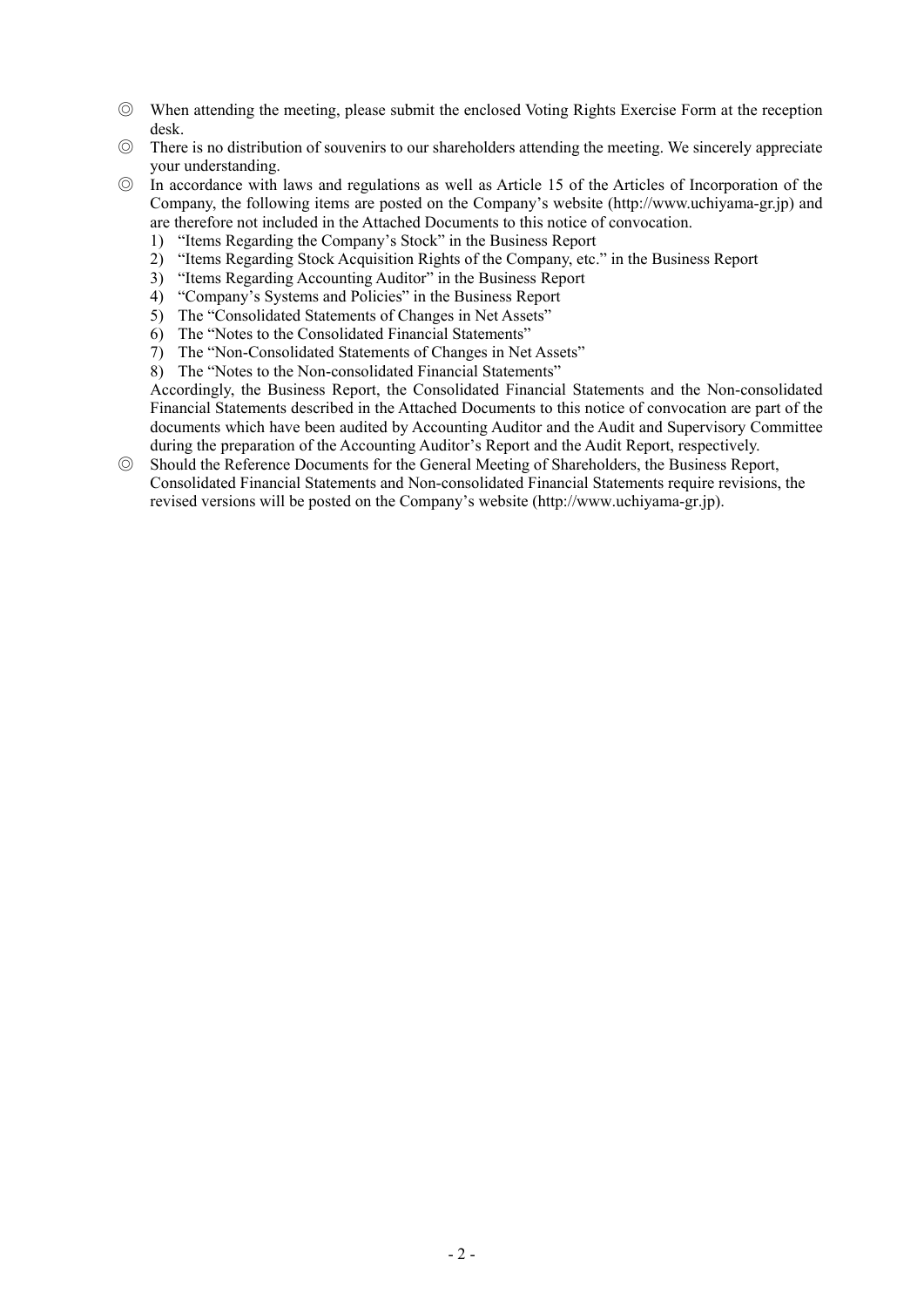- ◎ When attending the meeting, please submit the enclosed Voting Rights Exercise Form at the reception desk.
- ◎ There is no distribution of souvenirs to our shareholders attending the meeting. We sincerely appreciate your understanding.
- ◎ In accordance with laws and regulations as well as Article 15 of the Articles of Incorporation of the Company, the following items are posted on the Company's website (http://www.uchiyama-gr.jp) and are therefore not included in the Attached Documents to this notice of convocation.
	- 1) "Items Regarding the Company's Stock" in the Business Report
	- 2) "Items Regarding Stock Acquisition Rights of the Company, etc." in the Business Report
	- 3) "Items Regarding Accounting Auditor" in the Business Report
	- 4) "Company's Systems and Policies" in the Business Report
	- 5) The "Consolidated Statements of Changes in Net Assets"
	- 6) The "Notes to the Consolidated Financial Statements"
	- 7) The "Non-Consolidated Statements of Changes in Net Assets"
	- 8) The "Notes to the Non-consolidated Financial Statements"

Accordingly, the Business Report, the Consolidated Financial Statements and the Non-consolidated Financial Statements described in the Attached Documents to this notice of convocation are part of the documents which have been audited by Accounting Auditor and the Audit and Supervisory Committee during the preparation of the Accounting Auditor's Report and the Audit Report, respectively.

◎ Should the Reference Documents for the General Meeting of Shareholders, the Business Report, Consolidated Financial Statements and Non-consolidated Financial Statements require revisions, the revised versions will be posted on the Company's website (http://www.uchiyama-gr.jp).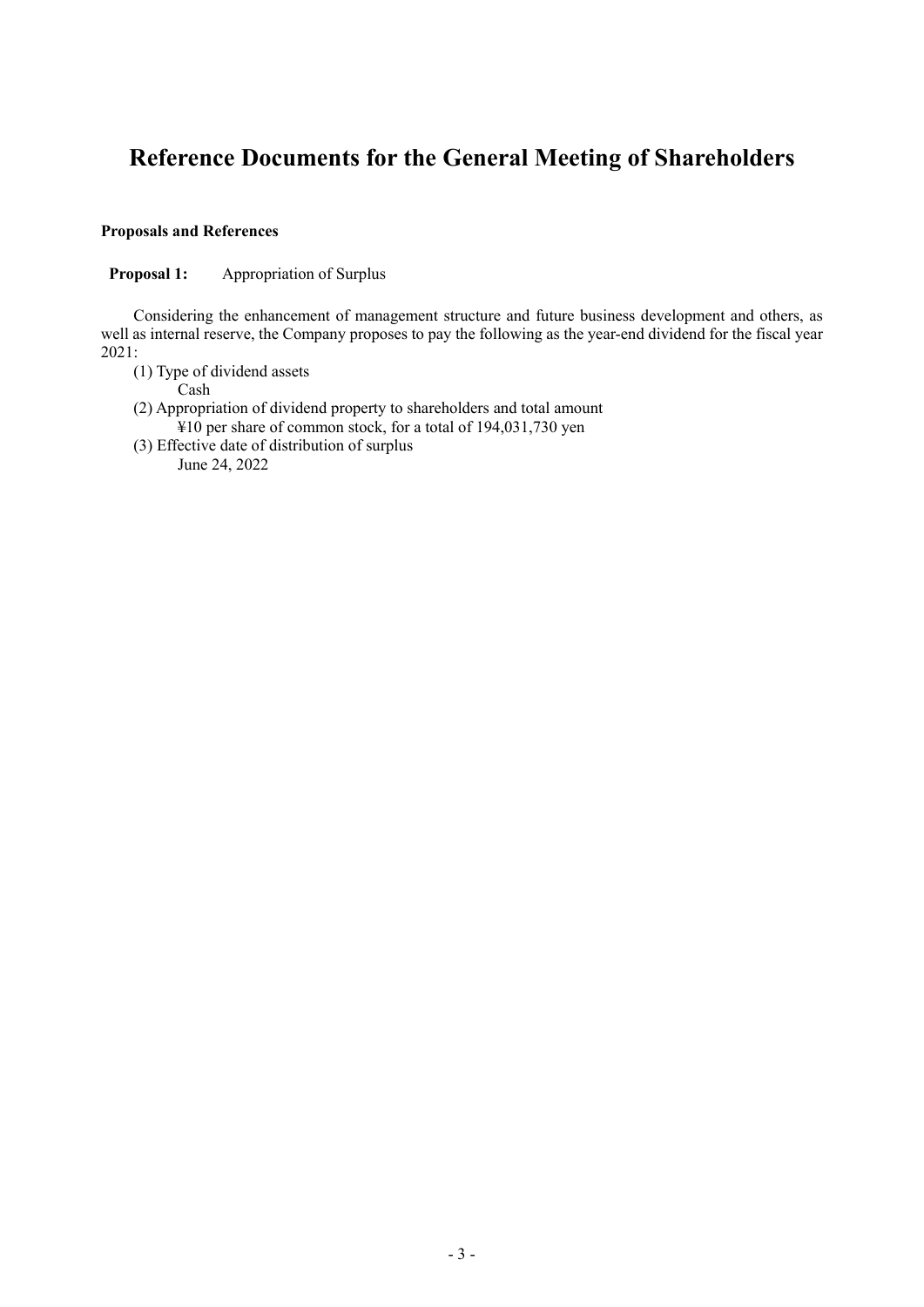# **Reference Documents for the General Meeting of Shareholders**

## **Proposals and References**

**Proposal 1:** Appropriation of Surplus

Considering the enhancement of management structure and future business development and others, as well as internal reserve, the Company proposes to pay the following as the year-end dividend for the fiscal year 2021:

(1) Type of dividend assets

Cash

- (2) Appropriation of dividend property to shareholders and total amount ¥10 per share of common stock, for a total of 194,031,730 yen
- (3) Effective date of distribution of surplus June 24, 2022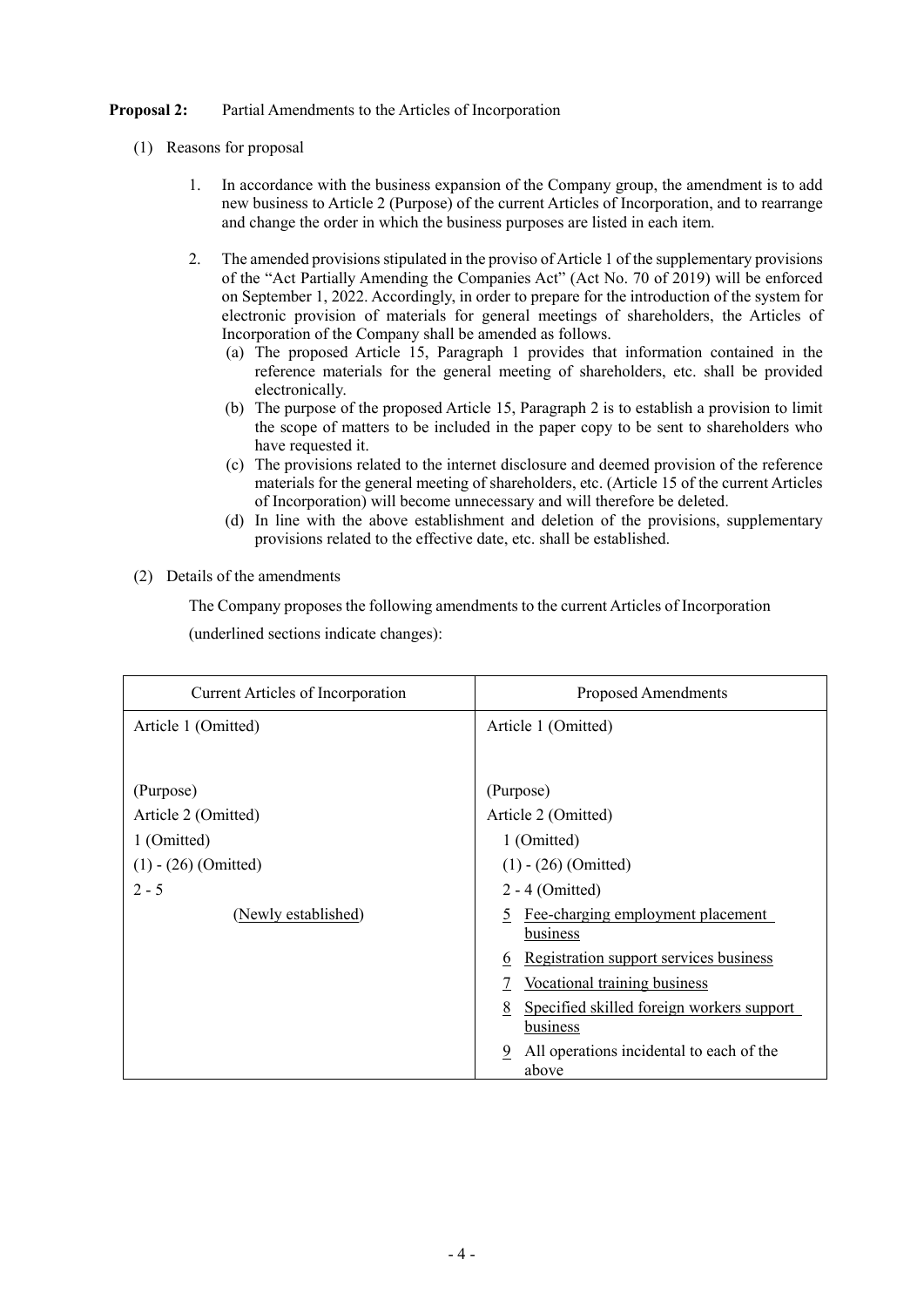## **Proposal 2:** Partial Amendments to the Articles of Incorporation

- (1) Reasons for proposal
	- 1. In accordance with the business expansion of the Company group, the amendment is to add new business to Article 2 (Purpose) of the current Articles of Incorporation, and to rearrange and change the order in which the business purposes are listed in each item.
	- 2. The amended provisions stipulated in the proviso of Article 1 of the supplementary provisions of the "Act Partially Amending the Companies Act" (Act No. 70 of 2019) will be enforced on September 1, 2022. Accordingly, in order to prepare for the introduction of the system for electronic provision of materials for general meetings of shareholders, the Articles of Incorporation of the Company shall be amended as follows.
		- (a) The proposed Article 15, Paragraph 1 provides that information contained in the reference materials for the general meeting of shareholders, etc. shall be provided electronically.
		- (b) The purpose of the proposed Article 15, Paragraph 2 is to establish a provision to limit the scope of matters to be included in the paper copy to be sent to shareholders who have requested it.
		- (c) The provisions related to the internet disclosure and deemed provision of the reference materials for the general meeting of shareholders, etc. (Article 15 of the current Articles of Incorporation) will become unnecessary and will therefore be deleted.
		- (d) In line with the above establishment and deletion of the provisions, supplementary provisions related to the effective date, etc. shall be established.
- (2) Details of the amendments

The Company proposes the following amendments to the current Articles of Incorporation

(underlined sections indicate changes):

| Current Articles of Incorporation | <b>Proposed Amendments</b>                                 |
|-----------------------------------|------------------------------------------------------------|
| Article 1 (Omitted)               | Article 1 (Omitted)                                        |
|                                   |                                                            |
| (Purpose)                         | (Purpose)                                                  |
| Article 2 (Omitted)               | Article 2 (Omitted)                                        |
| 1 (Omitted)                       | 1 (Omitted)                                                |
| $(1) - (26)$ (Omitted)            | $(1) - (26)$ (Omitted)                                     |
| $2 - 5$                           | $2 - 4$ (Omitted)                                          |
| (Newly established)               | Fee-charging employment placement<br>5<br>business         |
|                                   | Registration support services business<br>6                |
|                                   | Vocational training business                               |
|                                   | Specified skilled foreign workers support<br>8<br>business |
|                                   | All operations incidental to each of the<br>9<br>above     |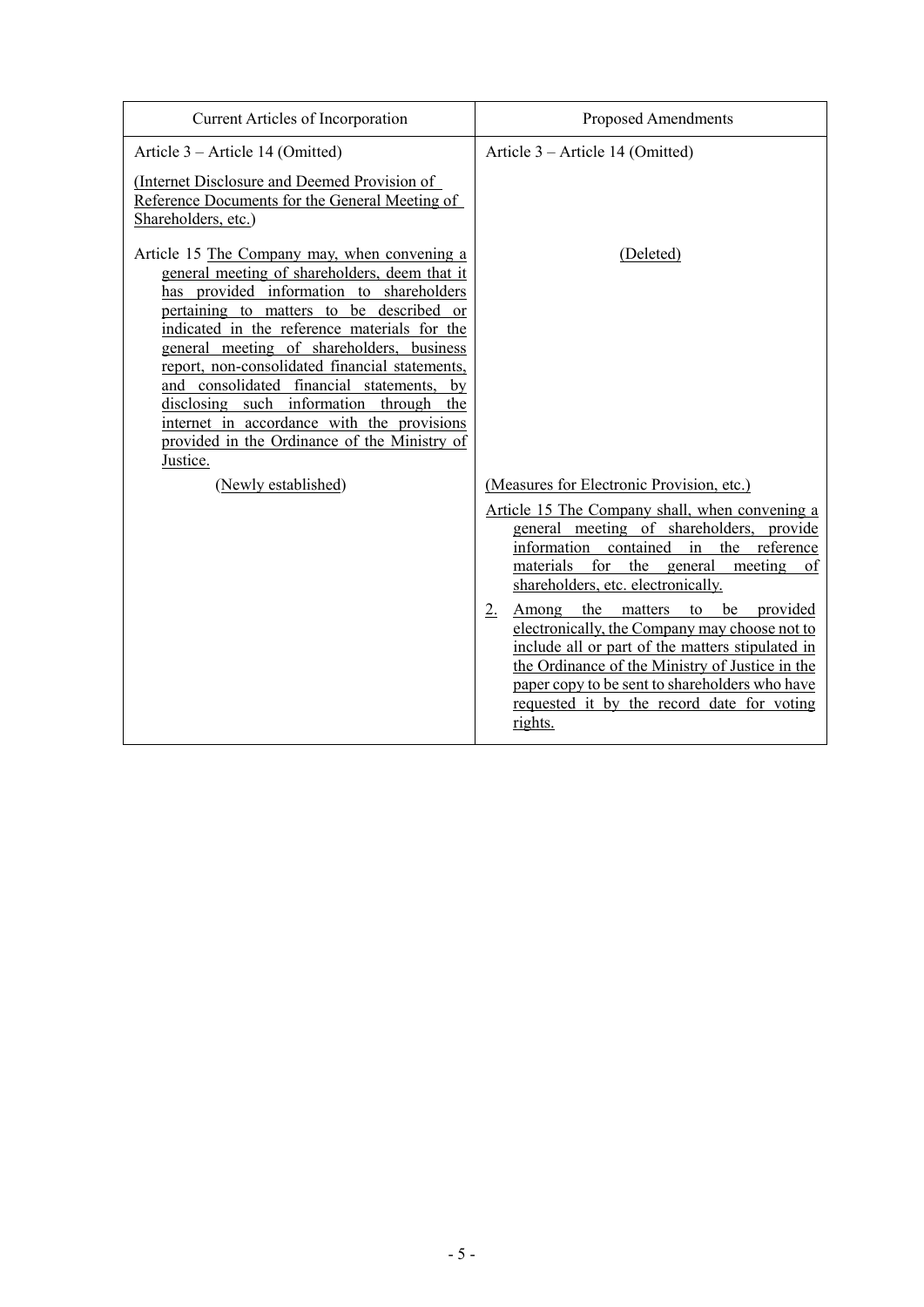| Current Articles of Incorporation                                                                                                                                                                                                                                                                                                                                                                                                                                                                                                      | <b>Proposed Amendments</b>                                                                                                                                                                                                                                                                                         |
|----------------------------------------------------------------------------------------------------------------------------------------------------------------------------------------------------------------------------------------------------------------------------------------------------------------------------------------------------------------------------------------------------------------------------------------------------------------------------------------------------------------------------------------|--------------------------------------------------------------------------------------------------------------------------------------------------------------------------------------------------------------------------------------------------------------------------------------------------------------------|
| Article 3 – Article 14 (Omitted)                                                                                                                                                                                                                                                                                                                                                                                                                                                                                                       | Article 3 – Article 14 (Omitted)                                                                                                                                                                                                                                                                                   |
| (Internet Disclosure and Deemed Provision of<br>Reference Documents for the General Meeting of<br>Shareholders, etc.)                                                                                                                                                                                                                                                                                                                                                                                                                  |                                                                                                                                                                                                                                                                                                                    |
| Article 15 The Company may, when convening a<br>general meeting of shareholders, deem that it<br>has provided information to shareholders<br>pertaining to matters to be described or<br>indicated in the reference materials for the<br>general meeting of shareholders, business<br>report, non-consolidated financial statements,<br>and consolidated financial statements, by<br>disclosing such information through the<br>internet in accordance with the provisions<br>provided in the Ordinance of the Ministry of<br>Justice. | (Deleted)                                                                                                                                                                                                                                                                                                          |
| (Newly established)                                                                                                                                                                                                                                                                                                                                                                                                                                                                                                                    | (Measures for Electronic Provision, etc.)                                                                                                                                                                                                                                                                          |
|                                                                                                                                                                                                                                                                                                                                                                                                                                                                                                                                        | Article 15 The Company shall, when convening a<br>general meeting of shareholders, provide<br>information contained<br>in the reference<br>for<br>the general<br>meeting<br>materials<br>of<br>shareholders, etc. electronically.                                                                                  |
|                                                                                                                                                                                                                                                                                                                                                                                                                                                                                                                                        | 2.<br>the matters to<br>be<br>provided<br>Among<br>electronically, the Company may choose not to<br>include all or part of the matters stipulated in<br>the Ordinance of the Ministry of Justice in the<br>paper copy to be sent to shareholders who have<br>requested it by the record date for voting<br>rights. |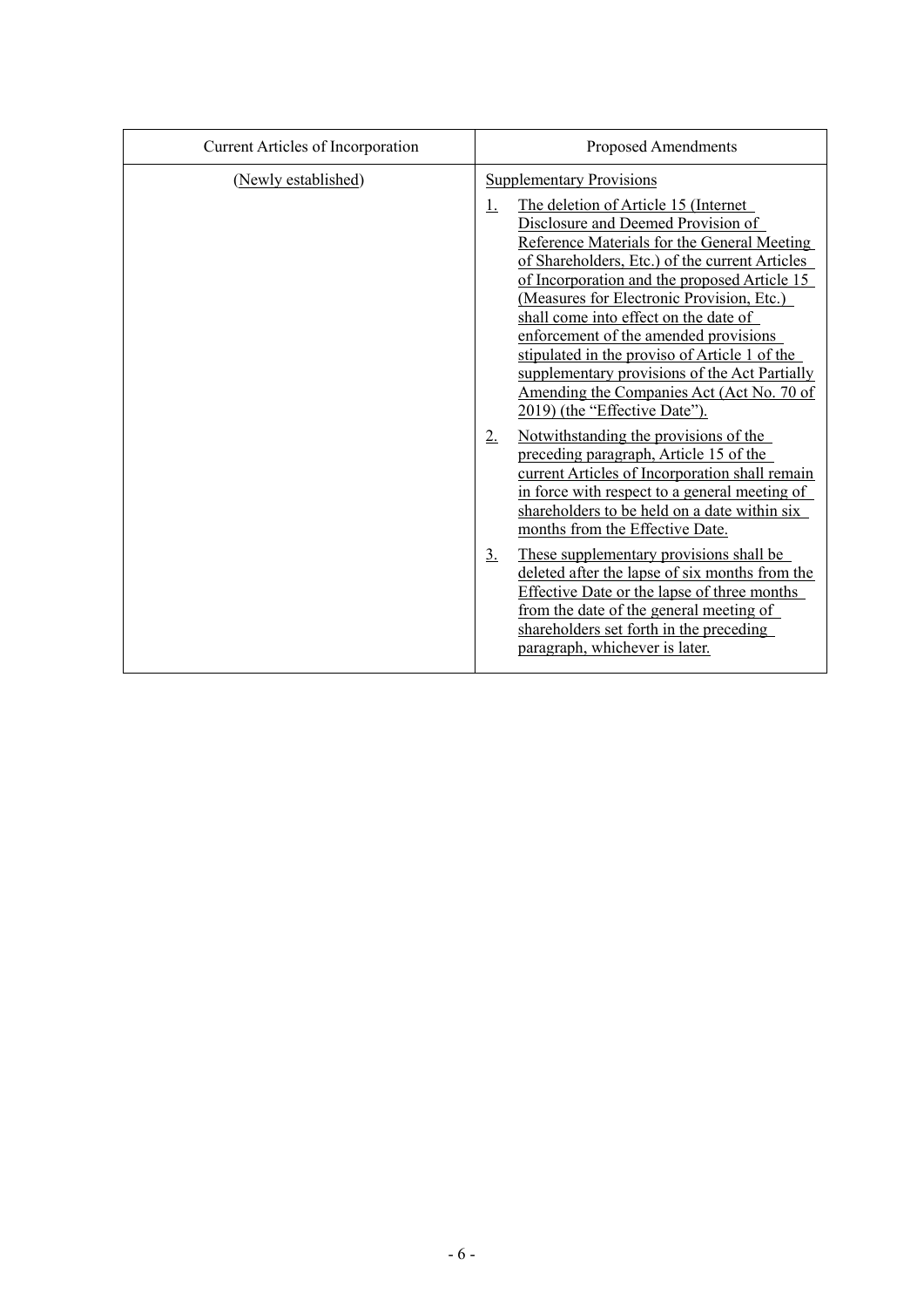| Current Articles of Incorporation | <b>Proposed Amendments</b>                                                                                                                                                                                                                                                                                                                                                                                                                                                                                                                                                                                                                                                                                                                                                           |
|-----------------------------------|--------------------------------------------------------------------------------------------------------------------------------------------------------------------------------------------------------------------------------------------------------------------------------------------------------------------------------------------------------------------------------------------------------------------------------------------------------------------------------------------------------------------------------------------------------------------------------------------------------------------------------------------------------------------------------------------------------------------------------------------------------------------------------------|
| (Newly established)               | <b>Supplementary Provisions</b><br>The deletion of Article 15 (Internet<br>$\perp$<br>Disclosure and Deemed Provision of<br>Reference Materials for the General Meeting<br>of Shareholders, Etc.) of the current Articles<br>of Incorporation and the proposed Article 15<br>(Measures for Electronic Provision, Etc.)<br>shall come into effect on the date of<br>enforcement of the amended provisions<br>stipulated in the proviso of Article 1 of the<br>supplementary provisions of the Act Partially<br>Amending the Companies Act (Act No. 70 of<br>2019) (the "Effective Date").<br>Notwithstanding the provisions of the<br>2.<br>preceding paragraph, Article 15 of the<br>current Articles of Incorporation shall remain<br>in force with respect to a general meeting of |
|                                   | shareholders to be held on a date within six<br>months from the Effective Date.<br>3.<br>These supplementary provisions shall be<br>deleted after the lapse of six months from the<br>Effective Date or the lapse of three months<br>from the date of the general meeting of<br>shareholders set forth in the preceding<br>paragraph, whichever is later.                                                                                                                                                                                                                                                                                                                                                                                                                            |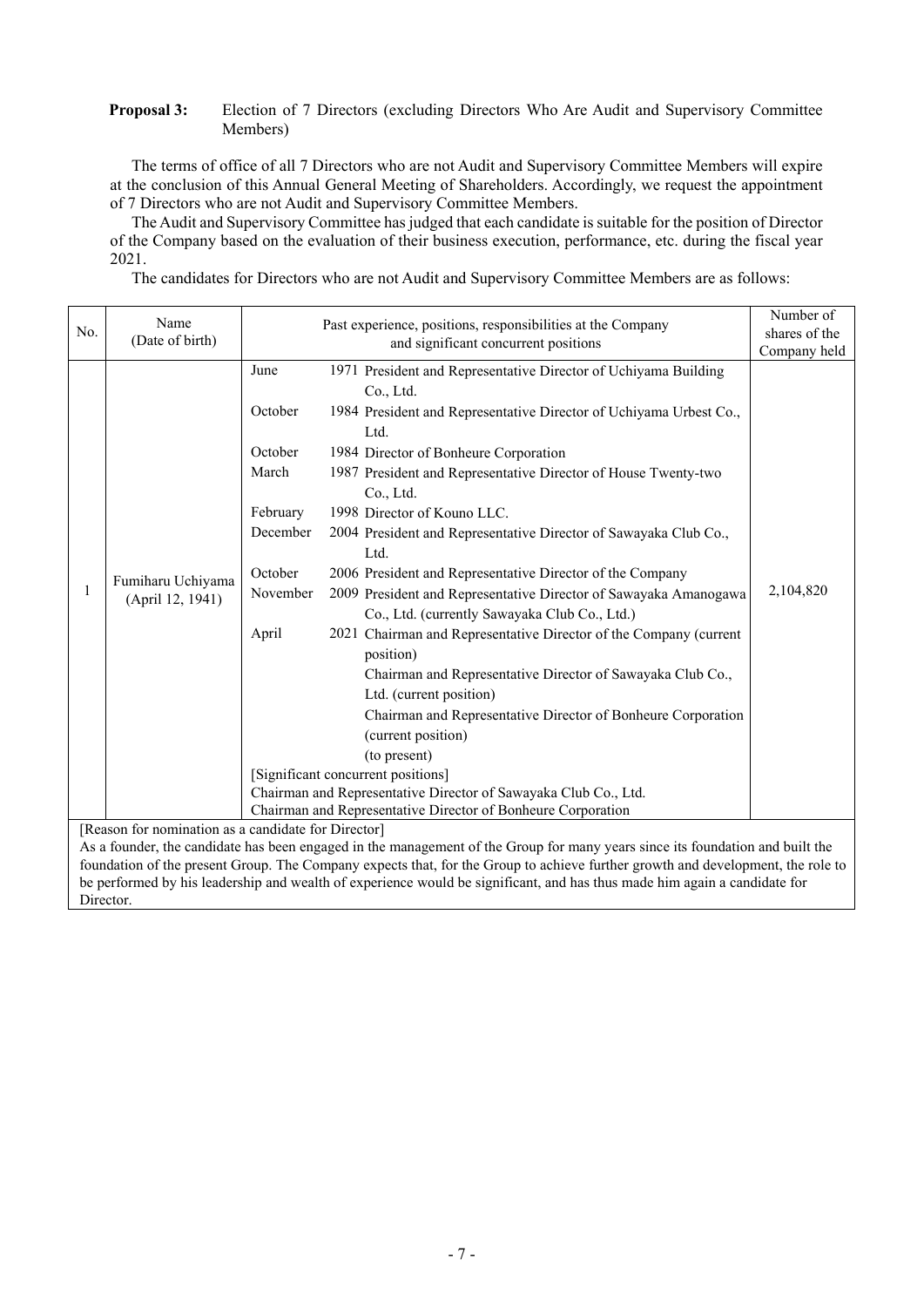#### **Proposal 3:** Election of 7 Directors (excluding Directors Who Are Audit and Supervisory Committee Members)

The terms of office of all 7 Directors who are not Audit and Supervisory Committee Members will expire at the conclusion of this Annual General Meeting of Shareholders. Accordingly, we request the appointment of 7 Directors who are not Audit and Supervisory Committee Members.

The Audit and Supervisory Committee has judged that each candidate is suitable for the position of Director of the Company based on the evaluation of their business execution, performance, etc. during the fiscal year 2021.

The candidates for Directors who are not Audit and Supervisory Committee Members are as follows:

|                                                                                                                               | Name                                                         | Past experience, positions, responsibilities at the Company     | Number of                                                                                                                       |           |  |  |  |
|-------------------------------------------------------------------------------------------------------------------------------|--------------------------------------------------------------|-----------------------------------------------------------------|---------------------------------------------------------------------------------------------------------------------------------|-----------|--|--|--|
| No.                                                                                                                           | (Date of birth)                                              |                                                                 | shares of the                                                                                                                   |           |  |  |  |
|                                                                                                                               |                                                              |                                                                 | Company held                                                                                                                    |           |  |  |  |
|                                                                                                                               |                                                              | June                                                            | 1971 President and Representative Director of Uchiyama Building                                                                 |           |  |  |  |
|                                                                                                                               |                                                              |                                                                 | Co., Ltd.                                                                                                                       |           |  |  |  |
|                                                                                                                               |                                                              | October                                                         | 1984 President and Representative Director of Uchiyama Urbest Co.,                                                              |           |  |  |  |
|                                                                                                                               |                                                              |                                                                 | Ltd.                                                                                                                            |           |  |  |  |
|                                                                                                                               |                                                              | October                                                         | 1984 Director of Bonheure Corporation                                                                                           |           |  |  |  |
|                                                                                                                               |                                                              | March                                                           | 1987 President and Representative Director of House Twenty-two                                                                  |           |  |  |  |
|                                                                                                                               |                                                              |                                                                 | Co., Ltd.                                                                                                                       |           |  |  |  |
|                                                                                                                               |                                                              | February                                                        | 1998 Director of Kouno LLC.                                                                                                     |           |  |  |  |
|                                                                                                                               |                                                              | December                                                        | 2004 President and Representative Director of Sawayaka Club Co.,                                                                |           |  |  |  |
|                                                                                                                               |                                                              |                                                                 | Ltd.                                                                                                                            |           |  |  |  |
|                                                                                                                               |                                                              | October                                                         | 2006 President and Representative Director of the Company                                                                       |           |  |  |  |
| 1                                                                                                                             | Fumiharu Uchiyama                                            | November                                                        | 2009 President and Representative Director of Sawayaka Amanogawa                                                                | 2,104,820 |  |  |  |
|                                                                                                                               | (April 12, 1941)                                             |                                                                 | Co., Ltd. (currently Sawayaka Club Co., Ltd.)                                                                                   |           |  |  |  |
|                                                                                                                               |                                                              | April                                                           | 2021 Chairman and Representative Director of the Company (current                                                               |           |  |  |  |
|                                                                                                                               |                                                              |                                                                 | position)                                                                                                                       |           |  |  |  |
|                                                                                                                               |                                                              |                                                                 | Chairman and Representative Director of Sawayaka Club Co.,                                                                      |           |  |  |  |
|                                                                                                                               |                                                              |                                                                 | Ltd. (current position)                                                                                                         |           |  |  |  |
|                                                                                                                               |                                                              |                                                                 | Chairman and Representative Director of Bonheure Corporation                                                                    |           |  |  |  |
|                                                                                                                               |                                                              |                                                                 | (current position)                                                                                                              |           |  |  |  |
|                                                                                                                               |                                                              |                                                                 | (to present)                                                                                                                    |           |  |  |  |
|                                                                                                                               |                                                              |                                                                 | [Significant concurrent positions]                                                                                              |           |  |  |  |
|                                                                                                                               |                                                              | Chairman and Representative Director of Sawayaka Club Co., Ltd. |                                                                                                                                 |           |  |  |  |
|                                                                                                                               | Chairman and Representative Director of Bonheure Corporation |                                                                 |                                                                                                                                 |           |  |  |  |
| [Reason for nomination as a candidate for Director]                                                                           |                                                              |                                                                 |                                                                                                                                 |           |  |  |  |
| As a founder, the candidate has been engaged in the management of the Group for many years since its foundation and built the |                                                              |                                                                 |                                                                                                                                 |           |  |  |  |
|                                                                                                                               |                                                              |                                                                 | foundation of the present Group. The Company expects that, for the Group to achieve further growth and development, the role to |           |  |  |  |
|                                                                                                                               |                                                              |                                                                 | be performed by his leadership and wealth of experience would be significant, and has thus made him again a candidate for       |           |  |  |  |
| Director.                                                                                                                     |                                                              |                                                                 |                                                                                                                                 |           |  |  |  |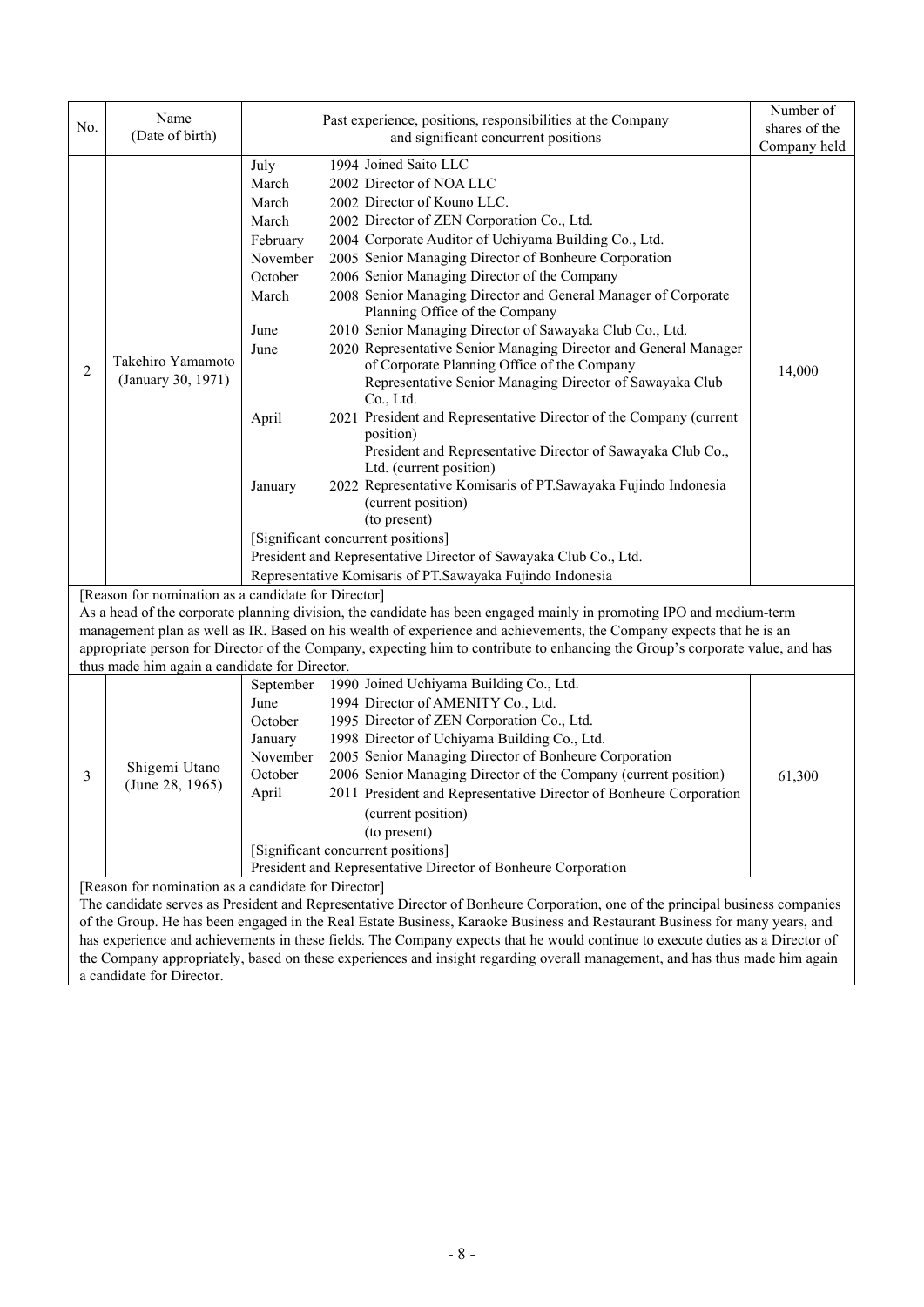|     | Name                                          |                                                                                                                                | Number of     |
|-----|-----------------------------------------------|--------------------------------------------------------------------------------------------------------------------------------|---------------|
| No. | (Date of birth)                               | Past experience, positions, responsibilities at the Company                                                                    | shares of the |
|     |                                               | and significant concurrent positions                                                                                           | Company held  |
|     |                                               | 1994 Joined Saito LLC<br>July                                                                                                  |               |
|     |                                               | 2002 Director of NOA LLC<br>March                                                                                              |               |
|     |                                               | 2002 Director of Kouno LLC.<br>March                                                                                           |               |
|     |                                               | 2002 Director of ZEN Corporation Co., Ltd.<br>March                                                                            |               |
|     |                                               | 2004 Corporate Auditor of Uchiyama Building Co., Ltd.<br>February                                                              |               |
|     |                                               | 2005 Senior Managing Director of Bonheure Corporation<br>November                                                              |               |
|     |                                               | 2006 Senior Managing Director of the Company<br>October                                                                        |               |
|     |                                               | 2008 Senior Managing Director and General Manager of Corporate<br>March<br>Planning Office of the Company                      |               |
|     |                                               | 2010 Senior Managing Director of Sawayaka Club Co., Ltd.<br>June                                                               |               |
|     |                                               | 2020 Representative Senior Managing Director and General Manager<br>June                                                       |               |
|     | Takehiro Yamamoto                             | of Corporate Planning Office of the Company                                                                                    |               |
| 2   | (January 30, 1971)                            | Representative Senior Managing Director of Sawayaka Club                                                                       | 14,000        |
|     |                                               | Co., Ltd.                                                                                                                      |               |
|     |                                               | 2021 President and Representative Director of the Company (current<br>April                                                    |               |
|     |                                               | position)                                                                                                                      |               |
|     |                                               | President and Representative Director of Sawayaka Club Co.,                                                                    |               |
|     |                                               | Ltd. (current position)                                                                                                        |               |
|     |                                               | 2022 Representative Komisaris of PT.Sawayaka Fujindo Indonesia<br>January                                                      |               |
|     |                                               | (current position)                                                                                                             |               |
|     |                                               | (to present)<br>[Significant concurrent positions]                                                                             |               |
|     |                                               | President and Representative Director of Sawayaka Club Co., Ltd.                                                               |               |
|     |                                               | Representative Komisaris of PT.Sawayaka Fujindo Indonesia                                                                      |               |
|     |                                               | [Reason for nomination as a candidate for Director]                                                                            |               |
|     |                                               | As a head of the corporate planning division, the candidate has been engaged mainly in promoting IPO and medium-term           |               |
|     |                                               | management plan as well as IR. Based on his wealth of experience and achievements, the Company expects that he is an           |               |
|     |                                               | appropriate person for Director of the Company, expecting him to contribute to enhancing the Group's corporate value, and has  |               |
|     | thus made him again a candidate for Director. |                                                                                                                                |               |
|     |                                               | 1990 Joined Uchiyama Building Co., Ltd.<br>September                                                                           |               |
|     |                                               | 1994 Director of AMENITY Co., Ltd.<br>June                                                                                     |               |
|     |                                               | 1995 Director of ZEN Corporation Co., Ltd.<br>October                                                                          |               |
|     |                                               | 1998 Director of Uchiyama Building Co., Ltd.<br>January                                                                        |               |
|     |                                               | 2005 Senior Managing Director of Bonheure Corporation<br>November                                                              |               |
| 3   | Shigemi Utano                                 | 2006 Senior Managing Director of the Company (current position)<br>October                                                     | 61,300        |
|     | (June 28, 1965)                               | 2011 President and Representative Director of Bonheure Corporation<br>April                                                    |               |
|     |                                               | (current position)                                                                                                             |               |
|     |                                               | (to present)                                                                                                                   |               |
|     |                                               | [Significant concurrent positions]                                                                                             |               |
|     |                                               | President and Representative Director of Bonheure Corporation                                                                  |               |
|     |                                               | [Reason for nomination as a candidate for Director]                                                                            |               |
|     |                                               | The candidate serves as President and Representative Director of Bonheure Corporation, one of the principal business companies |               |
|     |                                               | of the Group. He has been engaged in the Real Estate Business, Karaoke Business and Restaurant Business for many years, and    |               |
|     |                                               | has experience and achievements in these fields. The Company expects that he would continue to execute duties as a Director of |               |
|     |                                               | the Company appropriately, based on these experiences and insight regarding overall management, and has thus made him again    |               |

a candidate for Director.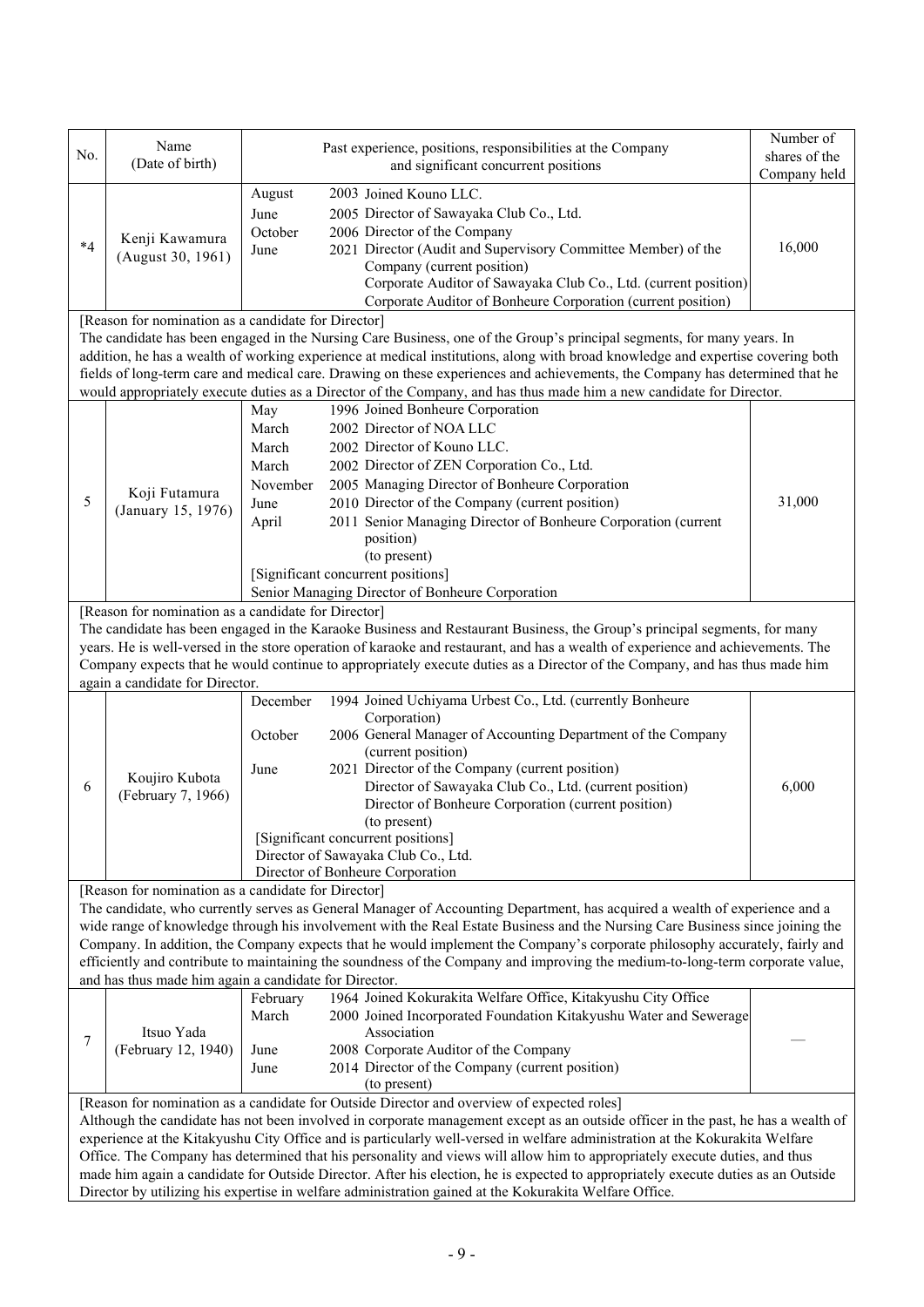| No.  | Name<br>(Date of birth)                                                                                                                                                                                                                                                                                                                                                                                                                                                                                                                                                                                                                                                                                                                      |                                                                                                   | Past experience, positions, responsibilities at the Company<br>and significant concurrent positions                                                                                                                                                                                                                                                                                                                                                                                                                         | Number of<br>shares of the<br>Company held |  |  |  |
|------|----------------------------------------------------------------------------------------------------------------------------------------------------------------------------------------------------------------------------------------------------------------------------------------------------------------------------------------------------------------------------------------------------------------------------------------------------------------------------------------------------------------------------------------------------------------------------------------------------------------------------------------------------------------------------------------------------------------------------------------------|---------------------------------------------------------------------------------------------------|-----------------------------------------------------------------------------------------------------------------------------------------------------------------------------------------------------------------------------------------------------------------------------------------------------------------------------------------------------------------------------------------------------------------------------------------------------------------------------------------------------------------------------|--------------------------------------------|--|--|--|
| $*4$ | Kenji Kawamura<br>(August 30, 1961)                                                                                                                                                                                                                                                                                                                                                                                                                                                                                                                                                                                                                                                                                                          | August<br>June<br>October<br>June                                                                 | 2003 Joined Kouno LLC.<br>2005 Director of Sawayaka Club Co., Ltd.<br>2006 Director of the Company<br>2021 Director (Audit and Supervisory Committee Member) of the<br>Company (current position)<br>Corporate Auditor of Sawayaka Club Co., Ltd. (current position)<br>Corporate Auditor of Bonheure Corporation (current position)                                                                                                                                                                                        | 16,000                                     |  |  |  |
|      | [Reason for nomination as a candidate for Director]                                                                                                                                                                                                                                                                                                                                                                                                                                                                                                                                                                                                                                                                                          |                                                                                                   | The candidate has been engaged in the Nursing Care Business, one of the Group's principal segments, for many years. In<br>addition, he has a wealth of working experience at medical institutions, along with broad knowledge and expertise covering both<br>fields of long-term care and medical care. Drawing on these experiences and achievements, the Company has determined that he<br>would appropriately execute duties as a Director of the Company, and has thus made him a new candidate for Director.           |                                            |  |  |  |
| 5    | Koji Futamura<br>(January 15, 1976)                                                                                                                                                                                                                                                                                                                                                                                                                                                                                                                                                                                                                                                                                                          | May<br>March<br>March<br>March<br>November<br>June<br>April<br>[Significant concurrent positions] | 1996 Joined Bonheure Corporation<br>2002 Director of NOA LLC<br>2002 Director of Kouno LLC.<br>2002 Director of ZEN Corporation Co., Ltd.<br>2005 Managing Director of Bonheure Corporation<br>2010 Director of the Company (current position)<br>2011 Senior Managing Director of Bonheure Corporation (current<br>position)<br>(to present)<br>Senior Managing Director of Bonheure Corporation                                                                                                                           | 31,000                                     |  |  |  |
|      | [Reason for nomination as a candidate for Director]<br>again a candidate for Director.                                                                                                                                                                                                                                                                                                                                                                                                                                                                                                                                                                                                                                                       |                                                                                                   | The candidate has been engaged in the Karaoke Business and Restaurant Business, the Group's principal segments, for many<br>years. He is well-versed in the store operation of karaoke and restaurant, and has a wealth of experience and achievements. The<br>Company expects that he would continue to appropriately execute duties as a Director of the Company, and has thus made him                                                                                                                                   |                                            |  |  |  |
| 6    | Koujiro Kubota<br>(February 7, 1966)                                                                                                                                                                                                                                                                                                                                                                                                                                                                                                                                                                                                                                                                                                         | December<br>October<br>June                                                                       | 1994 Joined Uchiyama Urbest Co., Ltd. (currently Bonheure<br>Corporation)<br>2006 General Manager of Accounting Department of the Company<br>(current position)<br>2021 Director of the Company (current position)<br>Director of Sawayaka Club Co., Ltd. (current position)<br>Director of Bonheure Corporation (current position)<br>(to present)<br>[Significant concurrent positions]<br>Director of Sawayaka Club Co., Ltd.<br>Director of Bonheure Corporation                                                        | 6.000                                      |  |  |  |
|      | [Reason for nomination as a candidate for Director]<br>and has thus made him again a candidate for Director.                                                                                                                                                                                                                                                                                                                                                                                                                                                                                                                                                                                                                                 |                                                                                                   | The candidate, who currently serves as General Manager of Accounting Department, has acquired a wealth of experience and a<br>wide range of knowledge through his involvement with the Real Estate Business and the Nursing Care Business since joining the<br>Company. In addition, the Company expects that he would implement the Company's corporate philosophy accurately, fairly and<br>efficiently and contribute to maintaining the soundness of the Company and improving the medium-to-long-term corporate value, |                                            |  |  |  |
| 7    | Itsuo Yada<br>(February 12, 1940)                                                                                                                                                                                                                                                                                                                                                                                                                                                                                                                                                                                                                                                                                                            | February<br>March<br>June<br>June                                                                 | 1964 Joined Kokurakita Welfare Office, Kitakyushu City Office<br>2000 Joined Incorporated Foundation Kitakyushu Water and Sewerage<br>Association<br>2008 Corporate Auditor of the Company<br>2014 Director of the Company (current position)<br>(to present)                                                                                                                                                                                                                                                               |                                            |  |  |  |
|      | [Reason for nomination as a candidate for Outside Director and overview of expected roles]<br>Although the candidate has not been involved in corporate management except as an outside officer in the past, he has a wealth of<br>experience at the Kitakyushu City Office and is particularly well-versed in welfare administration at the Kokurakita Welfare<br>Office. The Company has determined that his personality and views will allow him to appropriately execute duties, and thus<br>made him again a candidate for Outside Director. After his election, he is expected to appropriately execute duties as an Outside<br>Director by utilizing his expertise in welfare administration gained at the Kokurakita Welfare Office. |                                                                                                   |                                                                                                                                                                                                                                                                                                                                                                                                                                                                                                                             |                                            |  |  |  |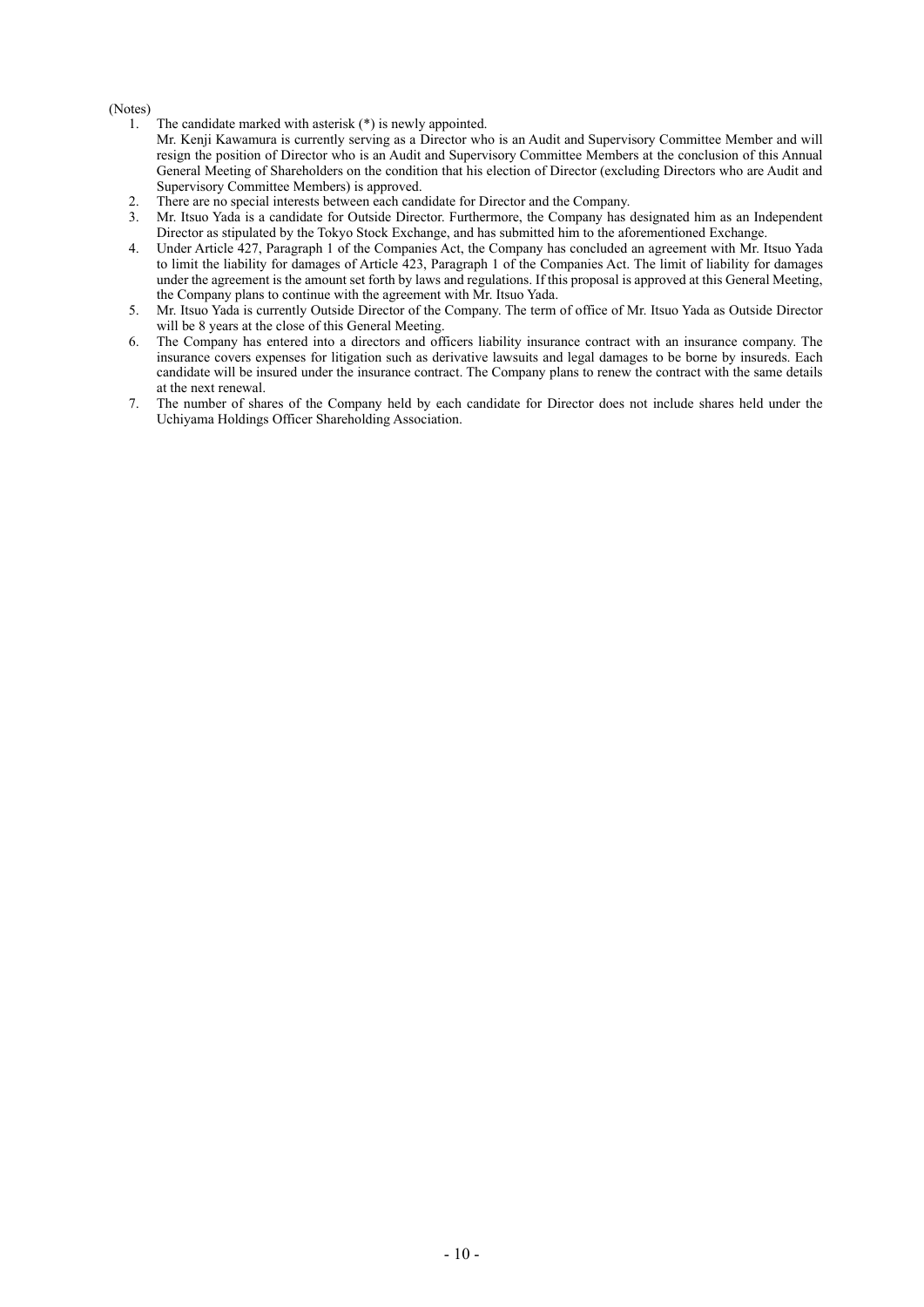#### (Notes)

1. The candidate marked with asterisk (\*) is newly appointed.

Mr. Kenji Kawamura is currently serving as a Director who is an Audit and Supervisory Committee Member and will resign the position of Director who is an Audit and Supervisory Committee Members at the conclusion of this Annual General Meeting of Shareholders on the condition that his election of Director (excluding Directors who are Audit and Supervisory Committee Members) is approved.

- 2. There are no special interests between each candidate for Director and the Company.
- 3. Mr. Itsuo Yada is a candidate for Outside Director. Furthermore, the Company has designated him as an Independent Director as stipulated by the Tokyo Stock Exchange, and has submitted him to the aforementioned Exchange.
- 4. Under Article 427, Paragraph 1 of the Companies Act, the Company has concluded an agreement with Mr. Itsuo Yada to limit the liability for damages of Article 423, Paragraph 1 of the Companies Act. The limit of liability for damages under the agreement is the amount set forth by laws and regulations. If this proposal is approved at this General Meeting, the Company plans to continue with the agreement with Mr. Itsuo Yada.
- 5. Mr. Itsuo Yada is currently Outside Director of the Company. The term of office of Mr. Itsuo Yada as Outside Director will be 8 years at the close of this General Meeting.
- 6. The Company has entered into a directors and officers liability insurance contract with an insurance company. The insurance covers expenses for litigation such as derivative lawsuits and legal damages to be borne by insureds. Each candidate will be insured under the insurance contract. The Company plans to renew the contract with the same details at the next renewal.
- 7. The number of shares of the Company held by each candidate for Director does not include shares held under the Uchiyama Holdings Officer Shareholding Association.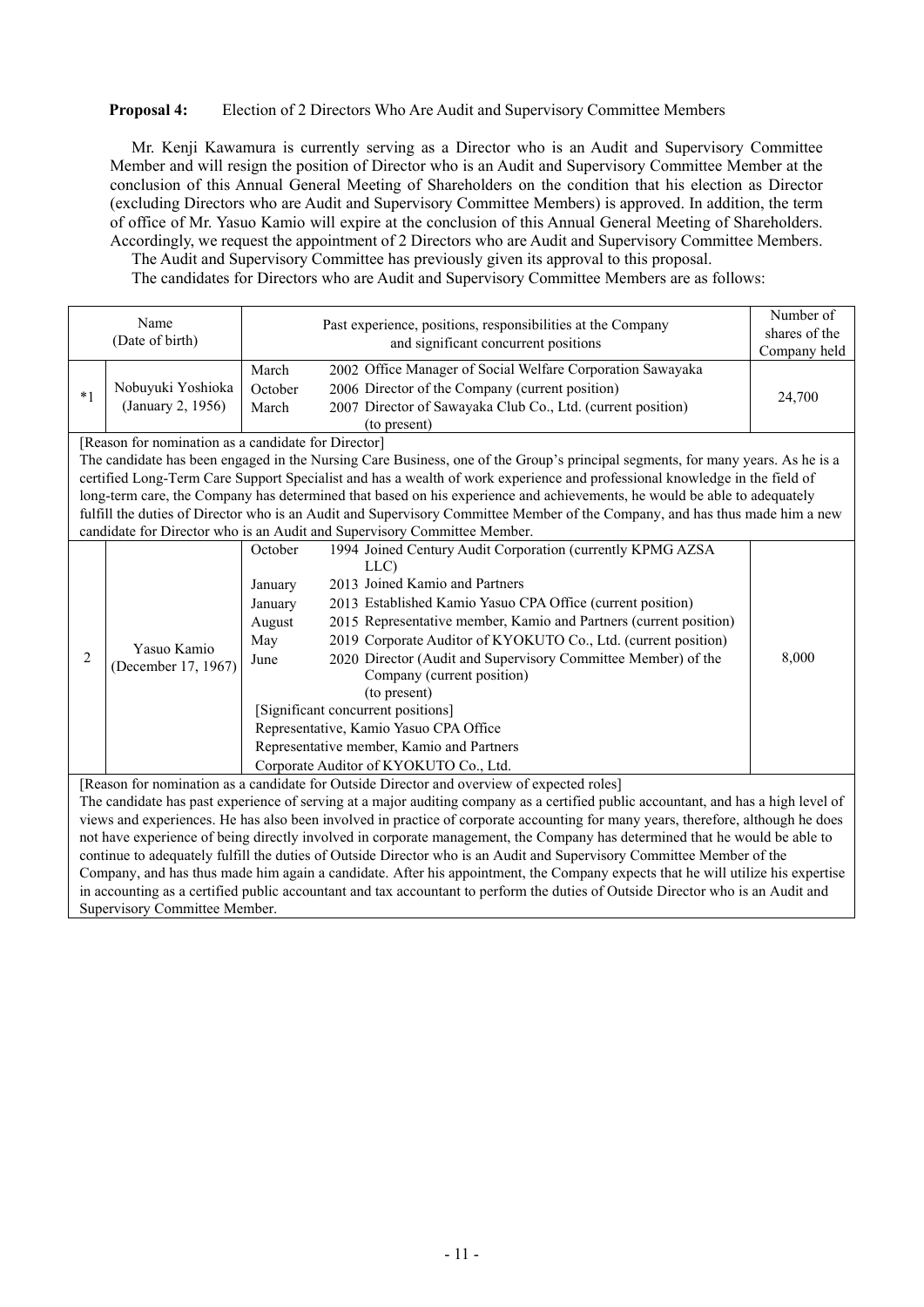#### **Proposal 4:** Election of 2 Directors Who Are Audit and Supervisory Committee Members

Mr. Kenji Kawamura is currently serving as a Director who is an Audit and Supervisory Committee Member and will resign the position of Director who is an Audit and Supervisory Committee Member at the conclusion of this Annual General Meeting of Shareholders on the condition that his election as Director (excluding Directors who are Audit and Supervisory Committee Members) is approved. In addition, the term of office of Mr. Yasuo Kamio will expire at the conclusion of this Annual General Meeting of Shareholders. Accordingly, we request the appointment of 2 Directors who are Audit and Supervisory Committee Members.

The Audit and Supervisory Committee has previously given its approval to this proposal. The candidates for Directors who are Audit and Supervisory Committee Members are as follows:

Name (Date of birth) Past experience, positions, responsibilities at the Company and significant concurrent positions Number of shares of the Company held \*1 Nobuyuki Yoshioka (January 2, 1956) March 2002 Office Manager of Social Welfare Corporation Sawayaka October 2006 Director of the Company (current position) 24,700<br>March 2007 Director of Sawayaka Club Co., Ltd. (current position) 2007 Director of Sawayaka Club Co., Ltd. (current position) (to present) [Reason for nomination as a candidate for Director] The candidate has been engaged in the Nursing Care Business, one of the Group's principal segments, for many years. As he is a certified Long-Term Care Support Specialist and has a wealth of work experience and professional knowledge in the field of long-term care, the Company has determined that based on his experience and achievements, he would be able to adequately fulfill the duties of Director who is an Audit and Supervisory Committee Member of the Company, and has thus made him a new candidate for Director who is an Audit and Supervisory Committee Member. 2 Yasuo Kamio (December 17, 1967) October 1994 Joined Century Audit Corporation (currently KPMG AZSA LLC) 8,000 January 2013 Joined Kamio and Partners January 2013 Established Kamio Yasuo CPA Office (current position) August 2015 Representative member, Kamio and Partners (current position) May 2019 Corporate Auditor of KYOKUTO Co., Ltd. (current position) June 2020 Director (Audit and Supervisory Committee Member) of the Company (current position) (to present) [Significant concurrent positions] Representative, Kamio Yasuo CPA Office Representative member, Kamio and Partners Corporate Auditor of KYOKUTO Co., Ltd. [Reason for nomination as a candidate for Outside Director and overview of expected roles] The candidate has past experience of serving at a major auditing company as a certified public accountant, and has a high level of views and experiences. He has also been involved in practice of corporate accounting for many years, therefore, although he does not have experience of being directly involved in corporate management, the Company has determined that he would be able to continue to adequately fulfill the duties of Outside Director who is an Audit and Supervisory Committee Member of the Company, and has thus made him again a candidate. After his appointment, the Company expects that he will utilize his expertise in accounting as a certified public accountant and tax accountant to perform the duties of Outside Director who is an Audit and Supervisory Committee Member.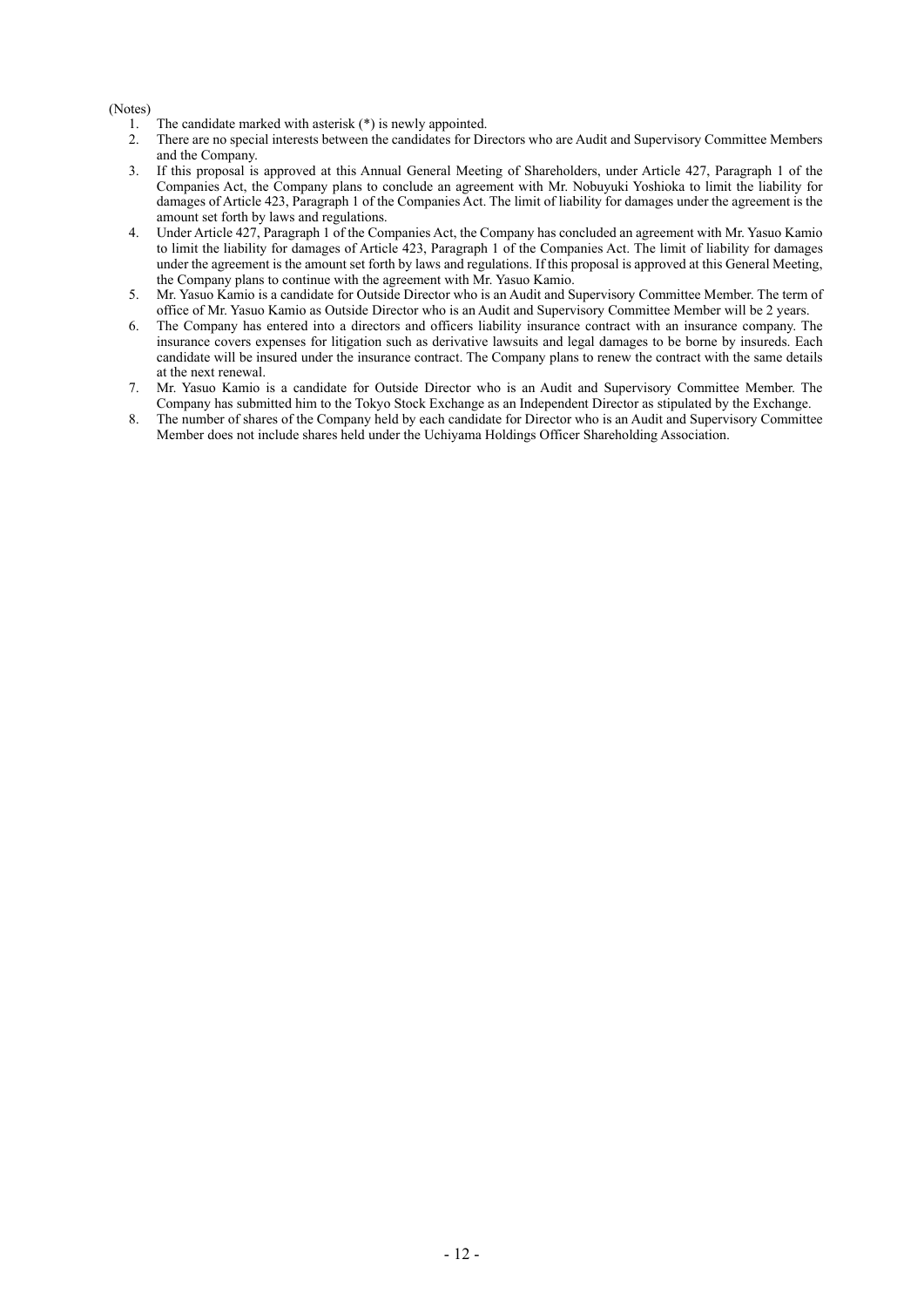(Notes)

- 1. The candidate marked with asterisk (\*) is newly appointed.
- 2. There are no special interests between the candidates for Directors who are Audit and Supervisory Committee Members and the Company.
- 3. If this proposal is approved at this Annual General Meeting of Shareholders, under Article 427, Paragraph 1 of the Companies Act, the Company plans to conclude an agreement with Mr. Nobuyuki Yoshioka to limit the liability for damages of Article 423, Paragraph 1 of the Companies Act. The limit of liability for damages under the agreement is the amount set forth by laws and regulations.
- 4. Under Article 427, Paragraph 1 of the Companies Act, the Company has concluded an agreement with Mr. Yasuo Kamio to limit the liability for damages of Article 423, Paragraph 1 of the Companies Act. The limit of liability for damages under the agreement is the amount set forth by laws and regulations. If this proposal is approved at this General Meeting, the Company plans to continue with the agreement with Mr. Yasuo Kamio.
- 5. Mr. Yasuo Kamio is a candidate for Outside Director who is an Audit and Supervisory Committee Member. The term of office of Mr. Yasuo Kamio as Outside Director who is an Audit and Supervisory Committee Member will be 2 years.
- 6. The Company has entered into a directors and officers liability insurance contract with an insurance company. The insurance covers expenses for litigation such as derivative lawsuits and legal damages to be borne by insureds. Each candidate will be insured under the insurance contract. The Company plans to renew the contract with the same details at the next renewal.
- 7. Mr. Yasuo Kamio is a candidate for Outside Director who is an Audit and Supervisory Committee Member. The Company has submitted him to the Tokyo Stock Exchange as an Independent Director as stipulated by the Exchange.
- 8. The number of shares of the Company held by each candidate for Director who is an Audit and Supervisory Committee Member does not include shares held under the Uchiyama Holdings Officer Shareholding Association.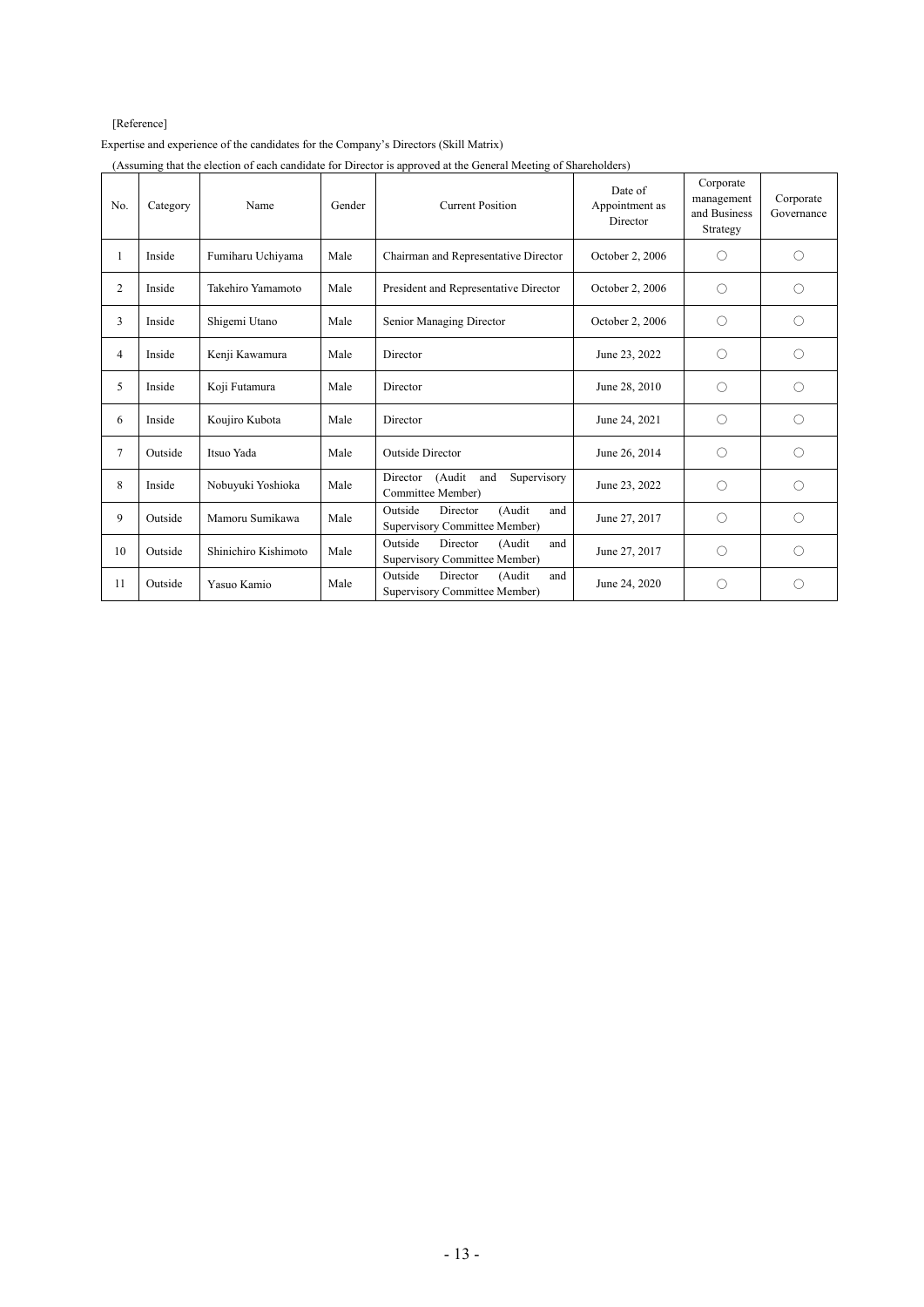# [Reference]

Expertise and experience of the candidates for the Company's Directors (Skill Matrix)

| (Assuming that the election of each candidate for Director is approved at the General Meeting of Shareholders) |  |
|----------------------------------------------------------------------------------------------------------------|--|
|                                                                                                                |  |
|                                                                                                                |  |

| No.            | Category | Name                 | Gender | <b>Current Position</b>                                               | Date of<br>Appointment as<br>Director | Corporate<br>management<br>and Business<br>Strategy | Corporate<br>Governance |
|----------------|----------|----------------------|--------|-----------------------------------------------------------------------|---------------------------------------|-----------------------------------------------------|-------------------------|
| 1              | Inside   | Fumiharu Uchiyama    | Male   | Chairman and Representative Director                                  | October 2, 2006                       | ◯                                                   | $\bigcirc$              |
| 2              | Inside   | Takehiro Yamamoto    | Male   | President and Representative Director                                 | October 2, 2006                       | $\bigcirc$                                          | ∩                       |
| 3              | Inside   | Shigemi Utano        | Male   | Senior Managing Director                                              | October 2, 2006                       | $\bigcirc$                                          | ∩                       |
| $\overline{4}$ | Inside   | Kenji Kawamura       | Male   | Director                                                              | June 23, 2022                         | $\bigcirc$                                          | O                       |
| 5              | Inside   | Koji Futamura        | Male   | Director                                                              | June 28, 2010                         | O                                                   | О                       |
| 6              | Inside   | Koujiro Kubota       | Male   | Director                                                              | June 24, 2021                         | $\bigcirc$                                          | 0                       |
| $\overline{7}$ | Outside  | Itsuo Yada           | Male   | <b>Outside Director</b>                                               | June 26, 2014                         | $\bigcirc$                                          | ∩                       |
| 8              | Inside   | Nobuyuki Yoshioka    | Male   | Director<br>(Audit<br>Supervisory<br>and<br>Committee Member)         | June 23, 2022                         | ◯                                                   | ∩                       |
| 9              | Outside  | Mamoru Sumikawa      | Male   | Outside<br>(Audit<br>Director<br>and<br>Supervisory Committee Member) | June 27, 2017                         | $\bigcirc$                                          | ∩                       |
| 10             | Outside  | Shinichiro Kishimoto | Male   | Outside<br>Director<br>(Audit<br>and<br>Supervisory Committee Member) | June 27, 2017                         | O                                                   | ∩                       |
| 11             | Outside  | Yasuo Kamio          | Male   | Outside<br>Director<br>(Audit<br>and<br>Supervisory Committee Member) | June 24, 2020                         | Ω                                                   | O                       |